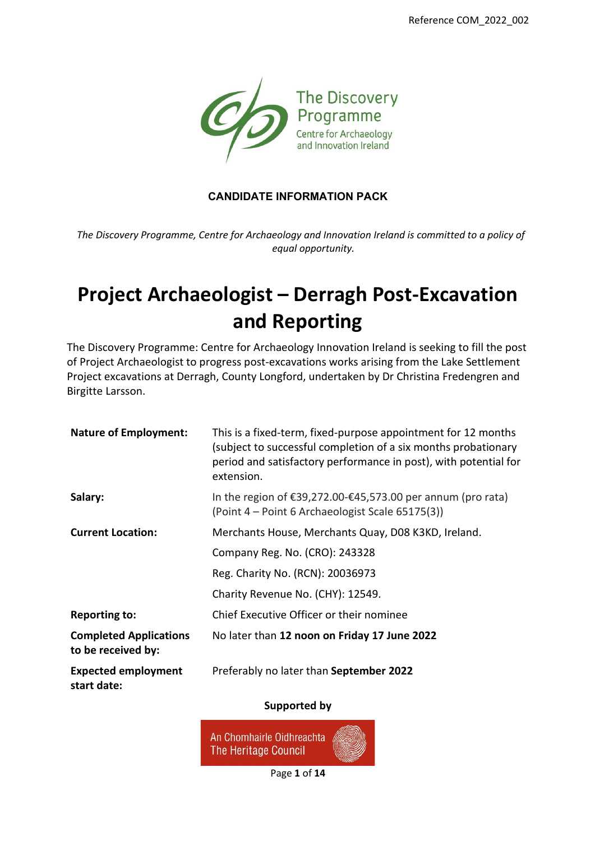

### **CANDIDATE INFORMATION PACK**

*The Discovery Programme, Centre for Archaeology and Innovation Ireland is committed to a policy of equal opportunity.*

# **Project Archaeologist – Derragh Post-Excavation and Reporting**

The Discovery Programme: Centre for Archaeology Innovation Ireland is seeking to fill the post of Project Archaeologist to progress post-excavations works arising from the Lake Settlement Project excavations at Derragh, County Longford, undertaken by Dr Christina Fredengren and Birgitte Larsson.

| <b>Nature of Employment:</b>                        | This is a fixed-term, fixed-purpose appointment for 12 months<br>(subject to successful completion of a six months probationary<br>period and satisfactory performance in post), with potential for<br>extension. |
|-----------------------------------------------------|-------------------------------------------------------------------------------------------------------------------------------------------------------------------------------------------------------------------|
| Salary:                                             | In the region of $\epsilon$ 39,272.00- $\epsilon$ 45,573.00 per annum (pro rata)<br>(Point 4 – Point 6 Archaeologist Scale 65175(3))                                                                              |
| <b>Current Location:</b>                            | Merchants House, Merchants Quay, D08 K3KD, Ireland.                                                                                                                                                               |
|                                                     | Company Reg. No. (CRO): 243328                                                                                                                                                                                    |
|                                                     | Reg. Charity No. (RCN): 20036973                                                                                                                                                                                  |
|                                                     | Charity Revenue No. (CHY): 12549.                                                                                                                                                                                 |
| <b>Reporting to:</b>                                | Chief Executive Officer or their nominee                                                                                                                                                                          |
| <b>Completed Applications</b><br>to be received by: | No later than 12 noon on Friday 17 June 2022                                                                                                                                                                      |
| <b>Expected employment</b><br>start date:           | Preferably no later than September 2022                                                                                                                                                                           |

#### **Supported by**



Page **1** of **14**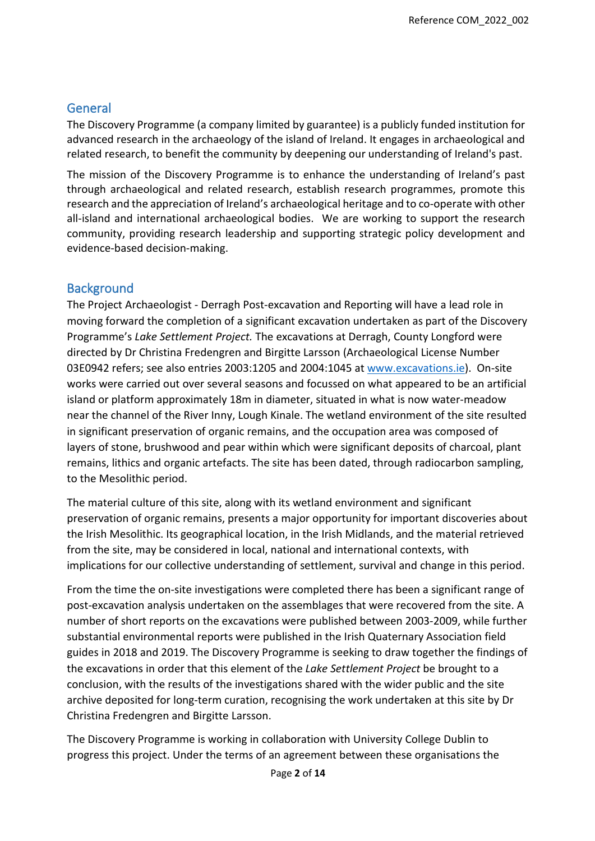## **General**

The Discovery Programme (a company limited by guarantee) is a publicly funded institution for advanced research in the archaeology of the island of Ireland. It engages in archaeological and related research, to benefit the community by deepening our understanding of Ireland's past.

The mission of the Discovery Programme is to enhance the understanding of Ireland's past through archaeological and related research, establish research programmes, promote this research and the appreciation of Ireland's archaeological heritage and to co-operate with other all-island and international archaeological bodies. We are working to support the research community, providing research leadership and supporting strategic policy development and evidence-based decision-making.

### **Background**

The Project Archaeologist - Derragh Post-excavation and Reporting will have a lead role in moving forward the completion of a significant excavation undertaken as part of the Discovery Programme's *Lake Settlement Project.* The excavations at Derragh, County Longford were directed by Dr Christina Fredengren and Birgitte Larsson (Archaeological License Number 03E0942 refers; see also entries 2003:1205 and 2004:1045 at [www.excavations.ie\)](http://www.excavations.ie/). On-site works were carried out over several seasons and focussed on what appeared to be an artificial island or platform approximately 18m in diameter, situated in what is now water-meadow near the channel of the River Inny, Lough Kinale. The wetland environment of the site resulted in significant preservation of organic remains, and the occupation area was composed of layers of stone, brushwood and pear within which were significant deposits of charcoal, plant remains, lithics and organic artefacts. The site has been dated, through radiocarbon sampling, to the Mesolithic period.

The material culture of this site, along with its wetland environment and significant preservation of organic remains, presents a major opportunity for important discoveries about the Irish Mesolithic. Its geographical location, in the Irish Midlands, and the material retrieved from the site, may be considered in local, national and international contexts, with implications for our collective understanding of settlement, survival and change in this period.

From the time the on-site investigations were completed there has been a significant range of post-excavation analysis undertaken on the assemblages that were recovered from the site. A number of short reports on the excavations were published between 2003-2009, while further substantial environmental reports were published in the Irish Quaternary Association field guides in 2018 and 2019. The Discovery Programme is seeking to draw together the findings of the excavations in order that this element of the *Lake Settlement Project* be brought to a conclusion, with the results of the investigations shared with the wider public and the site archive deposited for long-term curation, recognising the work undertaken at this site by Dr Christina Fredengren and Birgitte Larsson.

The Discovery Programme is working in collaboration with University College Dublin to progress this project. Under the terms of an agreement between these organisations the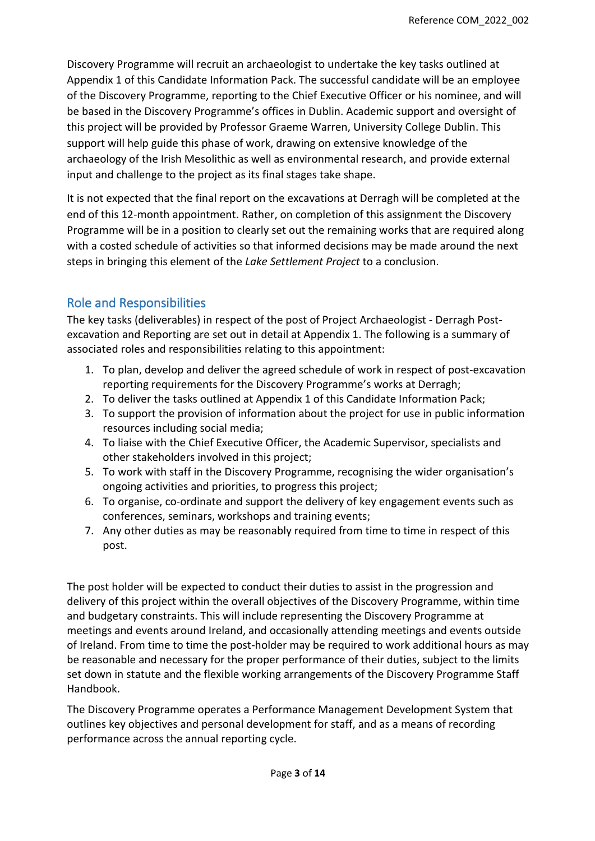Discovery Programme will recruit an archaeologist to undertake the key tasks outlined at Appendix 1 of this Candidate Information Pack. The successful candidate will be an employee of the Discovery Programme, reporting to the Chief Executive Officer or his nominee, and will be based in the Discovery Programme's offices in Dublin. Academic support and oversight of this project will be provided by Professor Graeme Warren, University College Dublin. This support will help guide this phase of work, drawing on extensive knowledge of the archaeology of the Irish Mesolithic as well as environmental research, and provide external input and challenge to the project as its final stages take shape.

It is not expected that the final report on the excavations at Derragh will be completed at the end of this 12-month appointment. Rather, on completion of this assignment the Discovery Programme will be in a position to clearly set out the remaining works that are required along with a costed schedule of activities so that informed decisions may be made around the next steps in bringing this element of the *Lake Settlement Project* to a conclusion.

### Role and Responsibilities

The key tasks (deliverables) in respect of the post of Project Archaeologist - Derragh Postexcavation and Reporting are set out in detail at Appendix 1. The following is a summary of associated roles and responsibilities relating to this appointment:

- 1. To plan, develop and deliver the agreed schedule of work in respect of post-excavation reporting requirements for the Discovery Programme's works at Derragh;
- 2. To deliver the tasks outlined at Appendix 1 of this Candidate Information Pack;
- 3. To support the provision of information about the project for use in public information resources including social media;
- 4. To liaise with the Chief Executive Officer, the Academic Supervisor, specialists and other stakeholders involved in this project;
- 5. To work with staff in the Discovery Programme, recognising the wider organisation's ongoing activities and priorities, to progress this project;
- 6. To organise, co-ordinate and support the delivery of key engagement events such as conferences, seminars, workshops and training events;
- 7. Any other duties as may be reasonably required from time to time in respect of this post.

The post holder will be expected to conduct their duties to assist in the progression and delivery of this project within the overall objectives of the Discovery Programme, within time and budgetary constraints. This will include representing the Discovery Programme at meetings and events around Ireland, and occasionally attending meetings and events outside of Ireland. From time to time the post-holder may be required to work additional hours as may be reasonable and necessary for the proper performance of their duties, subject to the limits set down in statute and the flexible working arrangements of the Discovery Programme Staff Handbook.

The Discovery Programme operates a Performance Management Development System that outlines key objectives and personal development for staff, and as a means of recording performance across the annual reporting cycle.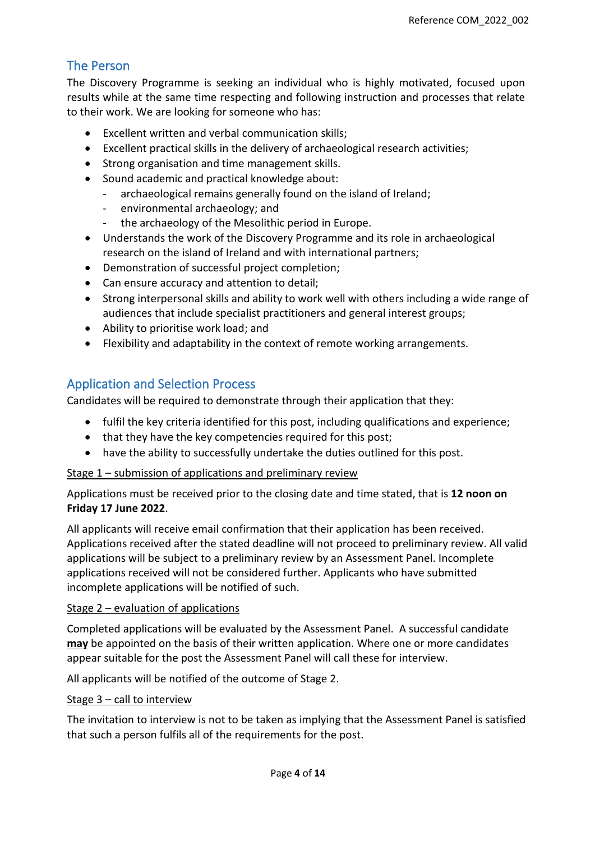# The Person

The Discovery Programme is seeking an individual who is highly motivated, focused upon results while at the same time respecting and following instruction and processes that relate to their work. We are looking for someone who has:

- Excellent written and verbal communication skills;
- Excellent practical skills in the delivery of archaeological research activities;
- Strong organisation and time management skills.
- Sound academic and practical knowledge about:
	- archaeological remains generally found on the island of Ireland;
	- environmental archaeology; and
	- the archaeology of the Mesolithic period in Europe.
- Understands the work of the Discovery Programme and its role in archaeological research on the island of Ireland and with international partners;
- Demonstration of successful project completion;
- Can ensure accuracy and attention to detail;
- Strong interpersonal skills and ability to work well with others including a wide range of audiences that include specialist practitioners and general interest groups;
- Ability to prioritise work load; and
- Flexibility and adaptability in the context of remote working arrangements.

### Application and Selection Process

Candidates will be required to demonstrate through their application that they:

- fulfil the key criteria identified for this post, including qualifications and experience;
- that they have the key competencies required for this post;
- have the ability to successfully undertake the duties outlined for this post.

### Stage 1 – submission of applications and preliminary review

Applications must be received prior to the closing date and time stated, that is **12 noon on Friday 17 June 2022**.

All applicants will receive email confirmation that their application has been received. Applications received after the stated deadline will not proceed to preliminary review. All valid applications will be subject to a preliminary review by an Assessment Panel. Incomplete applications received will not be considered further. Applicants who have submitted incomplete applications will be notified of such.

### Stage 2 – evaluation of applications

Completed applications will be evaluated by the Assessment Panel. A successful candidate **may** be appointed on the basis of their written application. Where one or more candidates appear suitable for the post the Assessment Panel will call these for interview.

All applicants will be notified of the outcome of Stage 2.

### Stage 3 - call to interview

The invitation to interview is not to be taken as implying that the Assessment Panel is satisfied that such a person fulfils all of the requirements for the post.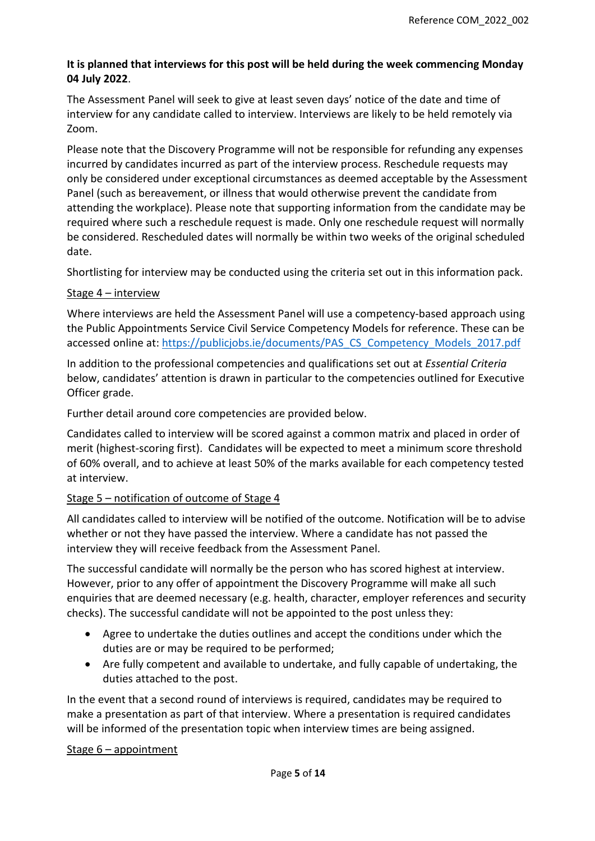### **It is planned that interviews for this post will be held during the week commencing Monday 04 July 2022**.

The Assessment Panel will seek to give at least seven days' notice of the date and time of interview for any candidate called to interview. Interviews are likely to be held remotely via Zoom.

Please note that the Discovery Programme will not be responsible for refunding any expenses incurred by candidates incurred as part of the interview process. Reschedule requests may only be considered under exceptional circumstances as deemed acceptable by the Assessment Panel (such as bereavement, or illness that would otherwise prevent the candidate from attending the workplace). Please note that supporting information from the candidate may be required where such a reschedule request is made. Only one reschedule request will normally be considered. Rescheduled dates will normally be within two weeks of the original scheduled date.

Shortlisting for interview may be conducted using the criteria set out in this information pack.

### Stage 4 – interview

Where interviews are held the Assessment Panel will use a competency-based approach using the Public Appointments Service Civil Service Competency Models for reference. These can be accessed online at: [https://publicjobs.ie/documents/PAS\\_CS\\_Competency\\_Models\\_2017.pdf](https://publicjobs.ie/documents/PAS_CS_Competency_Models_2017.pdf) 

In addition to the professional competencies and qualifications set out at *Essential Criteria* below, candidates' attention is drawn in particular to the competencies outlined for Executive Officer grade.

Further detail around core competencies are provided below.

Candidates called to interview will be scored against a common matrix and placed in order of merit (highest-scoring first). Candidates will be expected to meet a minimum score threshold of 60% overall, and to achieve at least 50% of the marks available for each competency tested at interview.

### Stage 5 – notification of outcome of Stage 4

All candidates called to interview will be notified of the outcome. Notification will be to advise whether or not they have passed the interview. Where a candidate has not passed the interview they will receive feedback from the Assessment Panel.

The successful candidate will normally be the person who has scored highest at interview. However, prior to any offer of appointment the Discovery Programme will make all such enquiries that are deemed necessary (e.g. health, character, employer references and security checks). The successful candidate will not be appointed to the post unless they:

- Agree to undertake the duties outlines and accept the conditions under which the duties are or may be required to be performed;
- Are fully competent and available to undertake, and fully capable of undertaking, the duties attached to the post.

In the event that a second round of interviews is required, candidates may be required to make a presentation as part of that interview. Where a presentation is required candidates will be informed of the presentation topic when interview times are being assigned.

### Stage 6 – appointment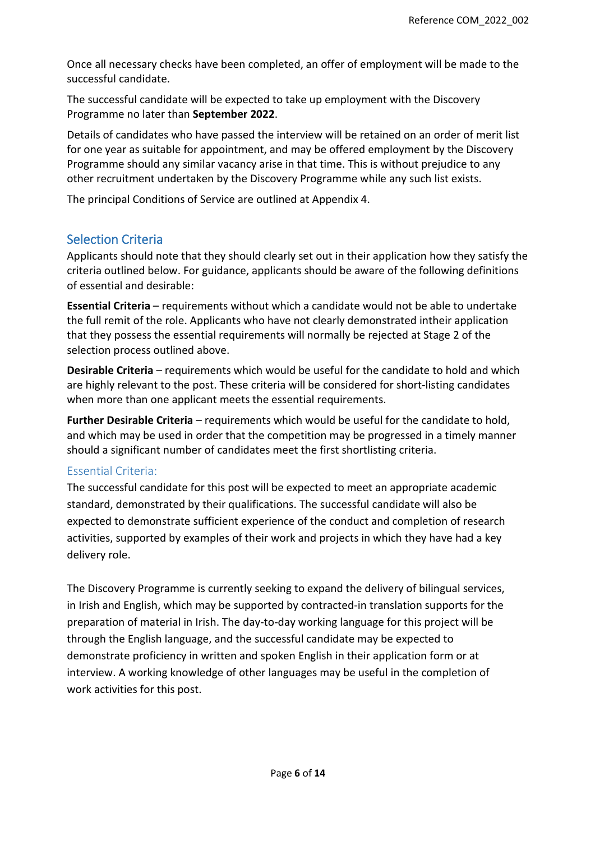Once all necessary checks have been completed, an offer of employment will be made to the successful candidate.

The successful candidate will be expected to take up employment with the Discovery Programme no later than **September 2022**.

Details of candidates who have passed the interview will be retained on an order of merit list for one year as suitable for appointment, and may be offered employment by the Discovery Programme should any similar vacancy arise in that time. This is without prejudice to any other recruitment undertaken by the Discovery Programme while any such list exists.

The principal Conditions of Service are outlined at Appendix 4.

### Selection Criteria

Applicants should note that they should clearly set out in their application how they satisfy the criteria outlined below. For guidance, applicants should be aware of the following definitions of essential and desirable:

**Essential Criteria** – requirements without which a candidate would not be able to undertake the full remit of the role. Applicants who have not clearly demonstrated intheir application that they possess the essential requirements will normally be rejected at Stage 2 of the selection process outlined above.

**Desirable Criteria** – requirements which would be useful for the candidate to hold and which are highly relevant to the post. These criteria will be considered for short-listing candidates when more than one applicant meets the essential requirements.

**Further Desirable Criteria** – requirements which would be useful for the candidate to hold, and which may be used in order that the competition may be progressed in a timely manner should a significant number of candidates meet the first shortlisting criteria.

### Essential Criteria:

The successful candidate for this post will be expected to meet an appropriate academic standard, demonstrated by their qualifications. The successful candidate will also be expected to demonstrate sufficient experience of the conduct and completion of research activities, supported by examples of their work and projects in which they have had a key delivery role.

The Discovery Programme is currently seeking to expand the delivery of bilingual services, in Irish and English, which may be supported by contracted-in translation supports for the preparation of material in Irish. The day-to-day working language for this project will be through the English language, and the successful candidate may be expected to demonstrate proficiency in written and spoken English in their application form or at interview. A working knowledge of other languages may be useful in the completion of work activities for this post.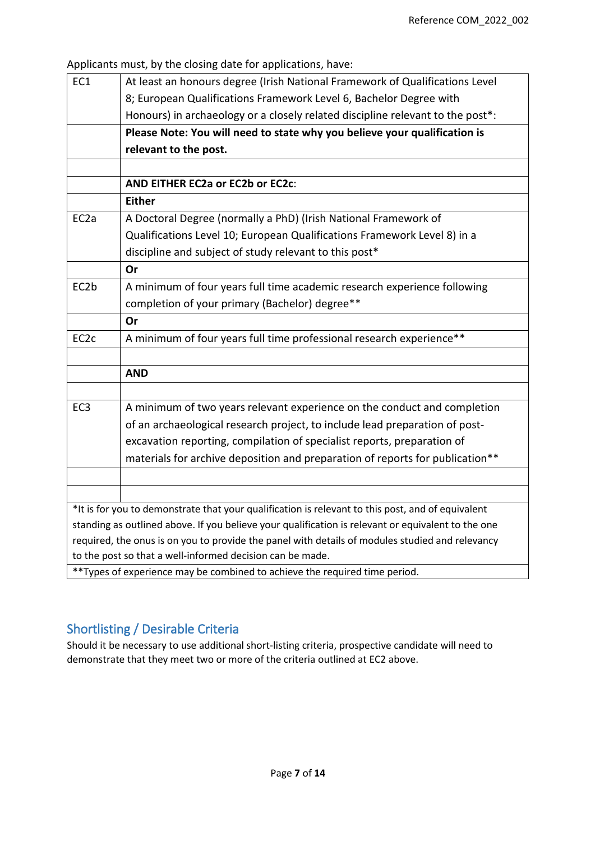Applicants must, by the closing date for applications, have:

| EC1                                                                                             | At least an honours degree (Irish National Framework of Qualifications Level                       |  |  |
|-------------------------------------------------------------------------------------------------|----------------------------------------------------------------------------------------------------|--|--|
|                                                                                                 | 8; European Qualifications Framework Level 6, Bachelor Degree with                                 |  |  |
|                                                                                                 | Honours) in archaeology or a closely related discipline relevant to the post*:                     |  |  |
|                                                                                                 | Please Note: You will need to state why you believe your qualification is                          |  |  |
|                                                                                                 | relevant to the post.                                                                              |  |  |
|                                                                                                 |                                                                                                    |  |  |
|                                                                                                 | AND EITHER EC2a or EC2b or EC2c:                                                                   |  |  |
|                                                                                                 | <b>Either</b>                                                                                      |  |  |
| EC <sub>2</sub> a                                                                               | A Doctoral Degree (normally a PhD) (Irish National Framework of                                    |  |  |
|                                                                                                 | Qualifications Level 10; European Qualifications Framework Level 8) in a                           |  |  |
|                                                                                                 | discipline and subject of study relevant to this post*                                             |  |  |
|                                                                                                 | Or                                                                                                 |  |  |
| EC2b                                                                                            | A minimum of four years full time academic research experience following                           |  |  |
|                                                                                                 | completion of your primary (Bachelor) degree**                                                     |  |  |
|                                                                                                 | Or                                                                                                 |  |  |
| EC <sub>2</sub> c                                                                               | A minimum of four years full time professional research experience**                               |  |  |
|                                                                                                 |                                                                                                    |  |  |
|                                                                                                 | <b>AND</b>                                                                                         |  |  |
|                                                                                                 |                                                                                                    |  |  |
| EC <sub>3</sub>                                                                                 | A minimum of two years relevant experience on the conduct and completion                           |  |  |
|                                                                                                 | of an archaeological research project, to include lead preparation of post-                        |  |  |
|                                                                                                 | excavation reporting, compilation of specialist reports, preparation of                            |  |  |
|                                                                                                 | materials for archive deposition and preparation of reports for publication**                      |  |  |
|                                                                                                 |                                                                                                    |  |  |
|                                                                                                 |                                                                                                    |  |  |
|                                                                                                 | *It is for you to demonstrate that your qualification is relevant to this post, and of equivalent  |  |  |
|                                                                                                 | standing as outlined above. If you believe your qualification is relevant or equivalent to the one |  |  |
| required, the onus is on you to provide the panel with details of modules studied and relevancy |                                                                                                    |  |  |
|                                                                                                 | to the post so that a well-informed decision can be made.                                          |  |  |
|                                                                                                 | **Types of experience may be combined to achieve the required time period.                         |  |  |

 $*$ \*Types of experience may be combined to achieve the required time period.

### Shortlisting / Desirable Criteria

Should it be necessary to use additional short-listing criteria, prospective candidate will need to demonstrate that they meet two or more of the criteria outlined at EC2 above.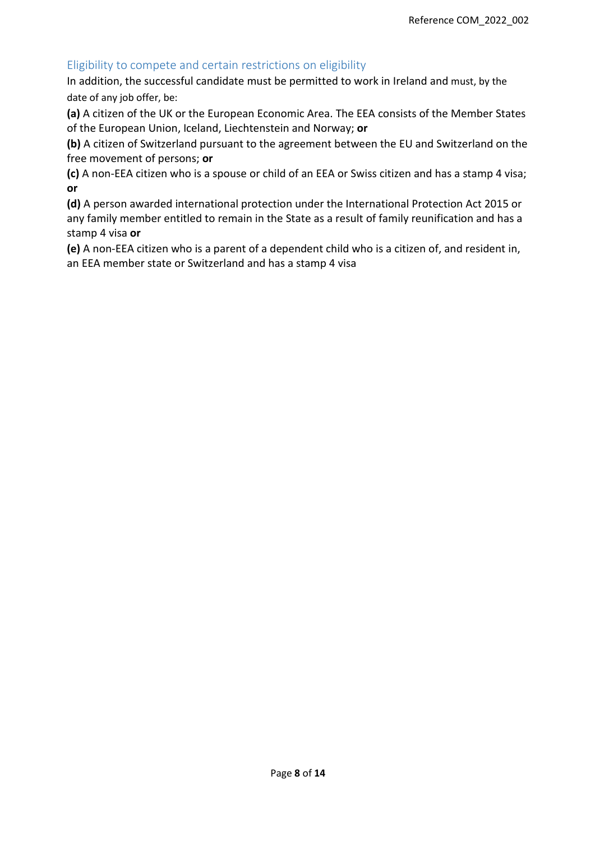### Eligibility to compete and certain restrictions on eligibility

In addition, the successful candidate must be permitted to work in Ireland and must, by the date of any job offer, be:

**(a)** A citizen of the UK or the European Economic Area. The EEA consists of the Member States of the European Union, Iceland, Liechtenstein and Norway; **or** 

**(b)** A citizen of Switzerland pursuant to the agreement between the EU and Switzerland on the free movement of persons; **or** 

**(c)** A non-EEA citizen who is a spouse or child of an EEA or Swiss citizen and has a stamp 4 visa; **or** 

**(d)** A person awarded international protection under the International Protection Act 2015 or any family member entitled to remain in the State as a result of family reunification and has a stamp 4 visa **or** 

**(e)** A non-EEA citizen who is a parent of a dependent child who is a citizen of, and resident in, an EEA member state or Switzerland and has a stamp 4 visa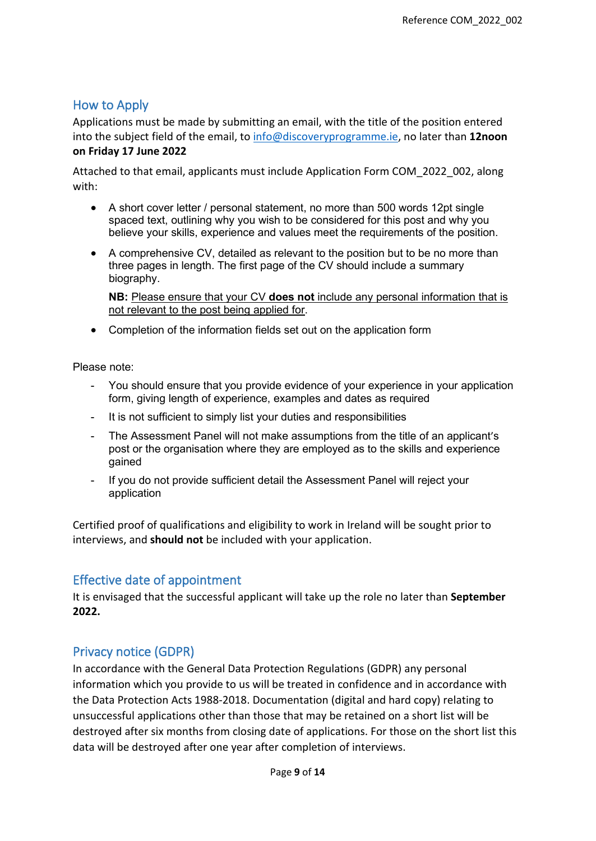# How to Apply

Applications must be made by submitting an email, with the title of the position entered into the subject field of the email, to [info@discoveryprogramme.ie,](mailto:info@discoveryprogramme.ie) no later than **12noon on Friday 17 June 2022**

Attached to that email, applicants must include Application Form COM\_2022\_002, along with:

- A short cover letter / personal statement, no more than 500 words 12pt single spaced text, outlining why you wish to be considered for this post and why you believe your skills, experience and values meet the requirements of the position.
- A comprehensive CV, detailed as relevant to the position but to be no more than three pages in length. The first page of the CV should include a summary biography.

**NB:** Please ensure that your CV **does not** include any personal information that is not relevant to the post being applied for.

• Completion of the information fields set out on the application form

Please note:

- You should ensure that you provide evidence of your experience in your application form, giving length of experience, examples and dates as required
- It is not sufficient to simply list your duties and responsibilities
- The Assessment Panel will not make assumptions from the title of an applicant's post or the organisation where they are employed as to the skills and experience gained
- If you do not provide sufficient detail the Assessment Panel will reject your application

Certified proof of qualifications and eligibility to work in Ireland will be sought prior to interviews, and **should not** be included with your application.

### Effective date of appointment

It is envisaged that the successful applicant will take up the role no later than **September 2022.**

### Privacy notice (GDPR)

In accordance with the General Data Protection Regulations (GDPR) any personal information which you provide to us will be treated in confidence and in accordance with the Data Protection Acts 1988-2018. Documentation (digital and hard copy) relating to unsuccessful applications other than those that may be retained on a short list will be destroyed after six months from closing date of applications. For those on the short list this data will be destroyed after one year after completion of interviews.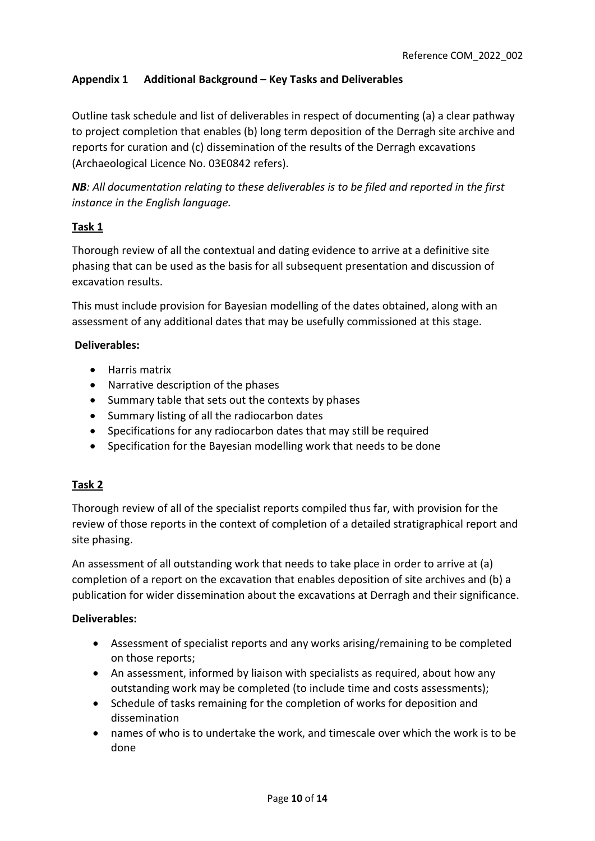### **Appendix 1 Additional Background – Key Tasks and Deliverables**

Outline task schedule and list of deliverables in respect of documenting (a) a clear pathway to project completion that enables (b) long term deposition of the Derragh site archive and reports for curation and (c) dissemination of the results of the Derragh excavations (Archaeological Licence No. 03E0842 refers).

*NB: All documentation relating to these deliverables is to be filed and reported in the first instance in the English language.*

### **Task 1**

Thorough review of all the contextual and dating evidence to arrive at a definitive site phasing that can be used as the basis for all subsequent presentation and discussion of excavation results.

This must include provision for Bayesian modelling of the dates obtained, along with an assessment of any additional dates that may be usefully commissioned at this stage.

### **Deliverables:**

- Harris matrix
- Narrative description of the phases
- Summary table that sets out the contexts by phases
- Summary listing of all the radiocarbon dates
- Specifications for any radiocarbon dates that may still be required
- Specification for the Bayesian modelling work that needs to be done

### **Task 2**

Thorough review of all of the specialist reports compiled thus far, with provision for the review of those reports in the context of completion of a detailed stratigraphical report and site phasing.

An assessment of all outstanding work that needs to take place in order to arrive at (a) completion of a report on the excavation that enables deposition of site archives and (b) a publication for wider dissemination about the excavations at Derragh and their significance.

#### **Deliverables:**

- Assessment of specialist reports and any works arising/remaining to be completed on those reports;
- An assessment, informed by liaison with specialists as required, about how any outstanding work may be completed (to include time and costs assessments);
- Schedule of tasks remaining for the completion of works for deposition and dissemination
- names of who is to undertake the work, and timescale over which the work is to be done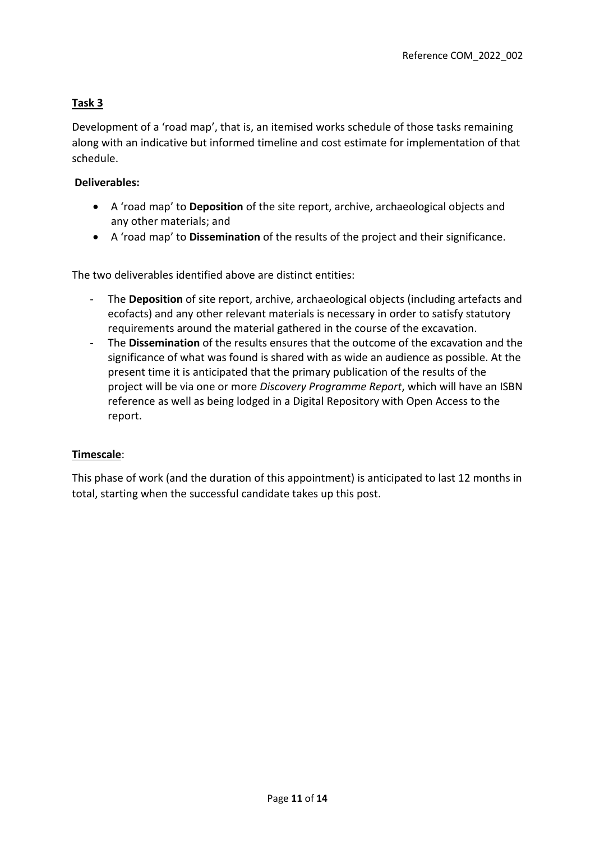### **Task 3**

Development of a 'road map', that is, an itemised works schedule of those tasks remaining along with an indicative but informed timeline and cost estimate for implementation of that schedule.

#### **Deliverables:**

- A 'road map' to **Deposition** of the site report, archive, archaeological objects and any other materials; and
- A 'road map' to **Dissemination** of the results of the project and their significance.

The two deliverables identified above are distinct entities:

- The **Deposition** of site report, archive, archaeological objects (including artefacts and ecofacts) and any other relevant materials is necessary in order to satisfy statutory requirements around the material gathered in the course of the excavation.
- The **Dissemination** of the results ensures that the outcome of the excavation and the significance of what was found is shared with as wide an audience as possible. At the present time it is anticipated that the primary publication of the results of the project will be via one or more *Discovery Programme Report*, which will have an ISBN reference as well as being lodged in a Digital Repository with Open Access to the report.

### **Timescale**:

This phase of work (and the duration of this appointment) is anticipated to last 12 months in total, starting when the successful candidate takes up this post.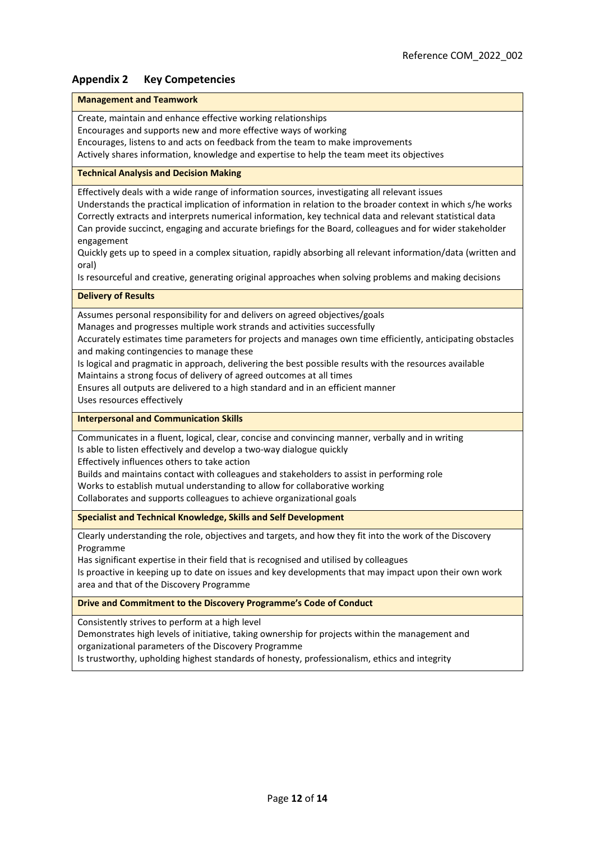#### **Appendix 2 Key Competencies**

#### **Management and Teamwork**

Create, maintain and enhance effective working relationships

Encourages and supports new and more effective ways of working

Encourages, listens to and acts on feedback from the team to make improvements

Actively shares information, knowledge and expertise to help the team meet its objectives

#### **Technical Analysis and Decision Making**

Effectively deals with a wide range of information sources, investigating all relevant issues Understands the practical implication of information in relation to the broader context in which s/he works Correctly extracts and interprets numerical information, key technical data and relevant statistical data Can provide succinct, engaging and accurate briefings for the Board, colleagues and for wider stakeholder engagement

Quickly gets up to speed in a complex situation, rapidly absorbing all relevant information/data (written and oral)

Is resourceful and creative, generating original approaches when solving problems and making decisions

#### **Delivery of Results**

Assumes personal responsibility for and delivers on agreed objectives/goals Manages and progresses multiple work strands and activities successfully

Accurately estimates time parameters for projects and manages own time efficiently, anticipating obstacles and making contingencies to manage these

Is logical and pragmatic in approach, delivering the best possible results with the resources available Maintains a strong focus of delivery of agreed outcomes at all times

Ensures all outputs are delivered to a high standard and in an efficient manner

Uses resources effectively

**Interpersonal and Communication Skills**

Communicates in a fluent, logical, clear, concise and convincing manner, verbally and in writing Is able to listen effectively and develop a two-way dialogue quickly

Effectively influences others to take action

Builds and maintains contact with colleagues and stakeholders to assist in performing role Works to establish mutual understanding to allow for collaborative working Collaborates and supports colleagues to achieve organizational goals

**Specialist and Technical Knowledge, Skills and Self Development**

Clearly understanding the role, objectives and targets, and how they fit into the work of the Discovery Programme

Has significant expertise in their field that is recognised and utilised by colleagues

Is proactive in keeping up to date on issues and key developments that may impact upon their own work area and that of the Discovery Programme

**Drive and Commitment to the Discovery Programme's Code of Conduct**

Consistently strives to perform at a high level

Demonstrates high levels of initiative, taking ownership for projects within the management and organizational parameters of the Discovery Programme

Is trustworthy, upholding highest standards of honesty, professionalism, ethics and integrity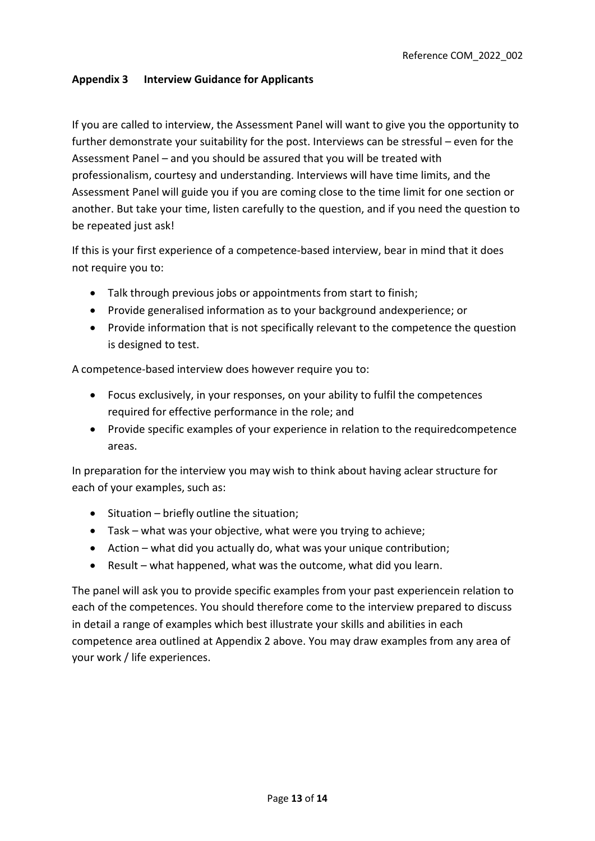#### **Appendix 3 Interview Guidance for Applicants**

If you are called to interview, the Assessment Panel will want to give you the opportunity to further demonstrate your suitability for the post. Interviews can be stressful – even for the Assessment Panel – and you should be assured that you will be treated with professionalism, courtesy and understanding. Interviews will have time limits, and the Assessment Panel will guide you if you are coming close to the time limit for one section or another. But take your time, listen carefully to the question, and if you need the question to be repeated just ask!

If this is your first experience of a competence-based interview, bear in mind that it does not require you to:

- Talk through previous jobs or appointments from start to finish;
- Provide generalised information as to your background andexperience; or
- Provide information that is not specifically relevant to the competence the question is designed to test.

A competence-based interview does however require you to:

- Focus exclusively, in your responses, on your ability to fulfil the competences required for effective performance in the role; and
- Provide specific examples of your experience in relation to the requiredcompetence areas.

In preparation for the interview you may wish to think about having aclear structure for each of your examples, such as:

- Situation briefly outline the situation;
- Task what was your objective, what were you trying to achieve;
- Action what did you actually do, what was your unique contribution;
- Result what happened, what was the outcome, what did you learn.

The panel will ask you to provide specific examples from your past experiencein relation to each of the competences. You should therefore come to the interview prepared to discuss in detail a range of examples which best illustrate your skills and abilities in each competence area outlined at Appendix 2 above. You may draw examples from any area of your work / life experiences.